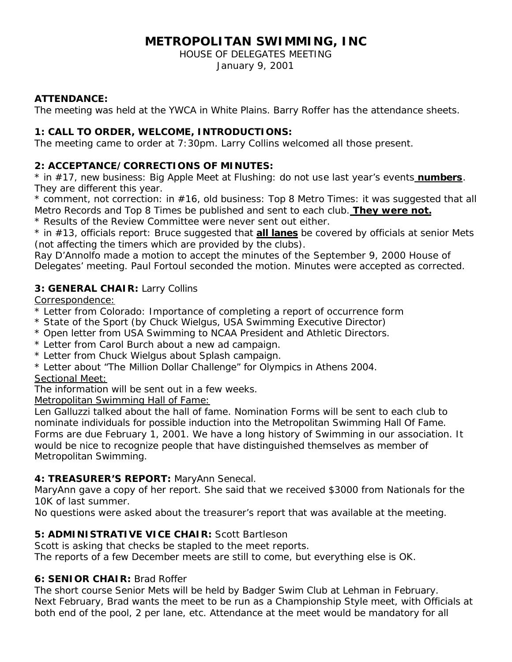# **METROPOLITAN SWIMMING, INC**

HOUSE OF DELEGATES MEETING

January 9, 2001

#### **ATTENDANCE:**

The meeting was held at the YWCA in White Plains. Barry Roffer has the attendance sheets.

## **1: CALL TO ORDER, WELCOME, INTRODUCTIONS:**

The meeting came to order at 7:30pm. Larry Collins welcomed all those present.

## **2: ACCEPTANCE/CORRECTIONS OF MINUTES:**

\* in #17, new business: Big Apple Meet at Flushing: do not use last year's events *numbers*. They are different this year.

 $*$  comment, not correction: in  $#16$ , old business: Top 8 Metro Times: it was suggested that all Metro Records and Top 8 Times be published and sent to each club. *They were not.*

\* Results of the Review Committee were never sent out either.

\* in #13, officials report: Bruce suggested that *all lanes* be covered by officials at senior Mets (not affecting the timers which are provided by the clubs).

Ray D'Annolfo made a motion to accept the minutes of the September 9, 2000 House of Delegates' meeting. Paul Fortoul seconded the motion. Minutes were accepted as corrected.

## **3: GENERAL CHAIR:** Larry Collins

Correspondence:

- \* Letter from Colorado: Importance of completing a report of occurrence form
- \* State of the Sport (by Chuck Wielgus, USA Swimming Executive Director)
- \* Open letter from USA Swimming to NCAA President and Athletic Directors.
- \* Letter from Carol Burch about a new ad campaign.
- \* Letter from Chuck Wielgus about Splash campaign.
- \* Letter about "The Million Dollar Challenge" for Olympics in Athens 2004. Sectional Meet:

The information will be sent out in a few weeks.

## Metropolitan Swimming Hall of Fame:

Len Galluzzi talked about the hall of fame. Nomination Forms will be sent to each club to nominate individuals for possible induction into the Metropolitan Swimming Hall Of Fame. Forms are due February 1, 2001. We have a long history of Swimming in our association. It would be nice to recognize people that have distinguished themselves as member of Metropolitan Swimming.

## **4: TREASURER'S REPORT:** MaryAnn Senecal.

MaryAnn gave a copy of her report. She said that we received \$3000 from Nationals for the 10K of last summer.

No questions were asked about the treasurer's report that was available at the meeting.

# **5: ADMINISTRATIVE VICE CHAIR:** Scott Bartleson

Scott is asking that checks be stapled to the meet reports.

The reports of a few December meets are still to come, but everything else is OK.

# **6: SENIOR CHAIR:** Brad Roffer

The short course Senior Mets will be held by Badger Swim Club at Lehman in February. Next February, Brad wants the meet to be run as a Championship Style meet, with Officials at both end of the pool, 2 per lane, etc. Attendance at the meet would be mandatory for all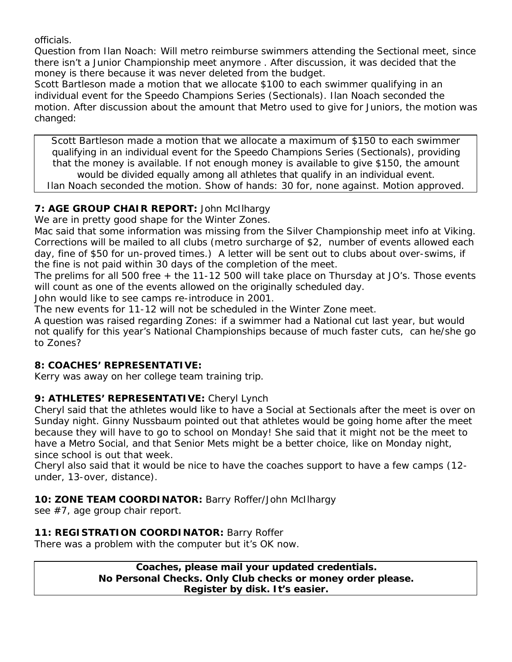officials.

Question from Ilan Noach: Will metro reimburse swimmers attending the Sectional meet, since there isn't a Junior Championship meet anymore . After discussion, it was decided that the money is there because it was never deleted from the budget.

Scott Bartleson made a motion that we allocate \$100 to each swimmer qualifying in an individual event for the Speedo Champions Series (Sectionals). Ilan Noach seconded the motion. After discussion about the amount that Metro used to give for Juniors, the motion was changed:

Scott Bartleson made a motion that we allocate a maximum of \$150 to each swimmer qualifying in an individual event for the Speedo Champions Series (Sectionals), providing that the money is available. If not enough money is available to give \$150, the amount would be divided equally among all athletes that qualify in an individual event. Ilan Noach seconded the motion. Show of hands: 30 for, none against. Motion approved.

## **7: AGE GROUP CHAIR REPORT:** John McIlhargy

We are in pretty good shape for the Winter Zones.

Mac said that some information was missing from the Silver Championship meet info at Viking. Corrections will be mailed to all clubs (metro surcharge of \$2, number of events allowed each day, fine of \$50 for un-proved times.) A letter will be sent out to clubs about over-swims, if the fine is not paid within 30 days of the completion of the meet.

The prelims for all 500 free + the 11-12 500 will take place on Thursday at JO's. Those events will count as one of the events allowed on the originally scheduled day.

John would like to see camps re-introduce in 2001.

The new events for 11-12 will not be scheduled in the Winter Zone meet.

A question was raised regarding Zones: if a swimmer had a National cut last year, but would not qualify for this year's National Championships because of much faster cuts, can he/she go to Zones?

## **8: COACHES' REPRESENTATIVE:**

Kerry was away on her college team training trip.

## **9: ATHLETES' REPRESENTATIVE:** Cheryl Lynch

Cheryl said that the athletes would like to have a Social at Sectionals after the meet is over on Sunday night. Ginny Nussbaum pointed out that athletes would be going home after the meet because they will have to go to school on Monday! She said that it might not be the meet to have a Metro Social, and that Senior Mets might be a better choice, like on Monday night, since school is out that week.

Cheryl also said that it would be nice to have the coaches support to have a few camps (12 under, 13-over, distance).

## **10: ZONE TEAM COORDINATOR:** Barry Roffer/John McIlhargy

see #7, age group chair report.

## **11: REGISTRATION COORDINATOR:** Barry Roffer

There was a problem with the computer but it's OK now.

**Coaches, please mail your updated credentials. No Personal Checks. Only Club checks or money order please. Register by disk. It's easier.**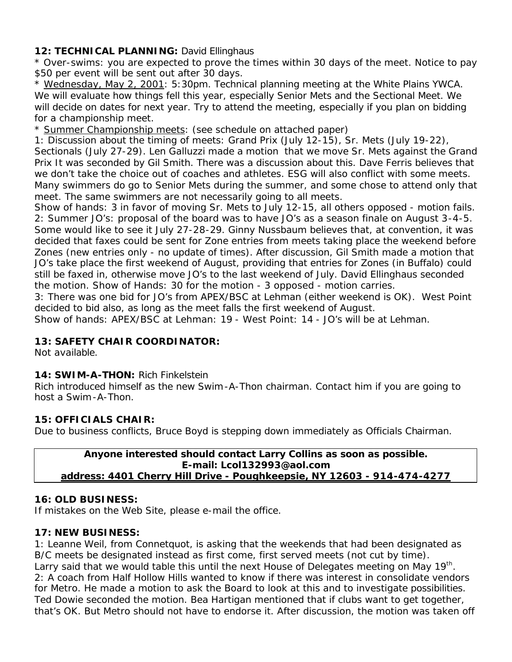#### 12: TECHNICAL PLANNING: David Ellinghaus

\* Over-swims: you are expected to prove the times within 30 days of the meet. Notice to pay \$50 per event will be sent out after 30 days.

\* Wednesday, May 2, 2001: 5:30pm. Technical planning meeting at the White Plains YWCA. We will evaluate how things fell this year, especially Senior Mets and the Sectional Meet. We will decide on dates for next year. Try to attend the meeting, especially if you plan on bidding for a championship meet.

\* Summer Championship meets: (see schedule on attached paper)

1: Discussion about the timing of meets: Grand Prix (July 12-15), Sr. Mets (July 19-22), Sectionals (July 27-29). Len Galluzzi made a motion that we move Sr. Mets against the Grand Prix It was seconded by Gil Smith. There was a discussion about this. Dave Ferris believes that we don't take the choice out of coaches and athletes. ESG will also conflict with some meets. Many swimmers do go to Senior Mets during the summer, and some chose to attend only that meet. The same swimmers are not necessarily going to all meets.

Show of hands: 3 in favor of moving Sr. Mets to July 12-15, all others opposed - motion fails. 2: Summer JO's: proposal of the board was to have JO's as a season finale on August 3-4-5. Some would like to see it July 27-28-29. Ginny Nussbaum believes that, at convention, it was decided that faxes could be sent for Zone entries from meets taking place the weekend before Zones (new entries only - no update of times). After discussion, Gil Smith made a motion that JO's take place the first weekend of August, providing that entries for Zones (in Buffalo) could still be faxed in, otherwise move JO's to the last weekend of July. David Ellinghaus seconded the motion. Show of Hands: 30 for the motion - 3 opposed - motion carries.

3: There was one bid for JO's from APEX/BSC at Lehman (either weekend is OK). West Point decided to bid also, as long as the meet falls the first weekend of August.

Show of hands: APEX/BSC at Lehman: 19 - West Point: 14 - JO's will be at Lehman.

#### **13: SAFETY CHAIR COORDINATOR:**

Not available.

#### **14: SWIM-A-THON:** Rich Finkelstein

Rich introduced himself as the new Swim-A-Thon chairman. Contact him if you are going to host a Swim-A-Thon.

#### **15: OFFICIALS CHAIR:**

Due to business conflicts, Bruce Boyd is stepping down immediately as Officials Chairman.

**Anyone interested should contact Larry Collins as soon as possible. E-mail: Lcol132993@aol.com address: 4401 Cherry Hill Drive - Poughkeepsie, NY 12603 - 914-474-4277**

#### **16: OLD BUSINESS:**

If mistakes on the Web Site, please e-mail the office.

#### **17: NEW BUSINESS:**

1: Leanne Weil, from Connetquot, is asking that the weekends that had been designated as B/C meets be designated instead as first come, first served meets (not cut by time). Larry said that we would table this until the next House of Delegates meeting on May 19<sup>th</sup>. 2: A coach from Half Hollow Hills wanted to know if there was interest in consolidate vendors for Metro. He made a motion to ask the Board to look at this and to investigate possibilities. Ted Dowie seconded the motion. Bea Hartigan mentioned that if clubs want to get together, that's OK. But Metro should not have to endorse it. After discussion, the motion was taken off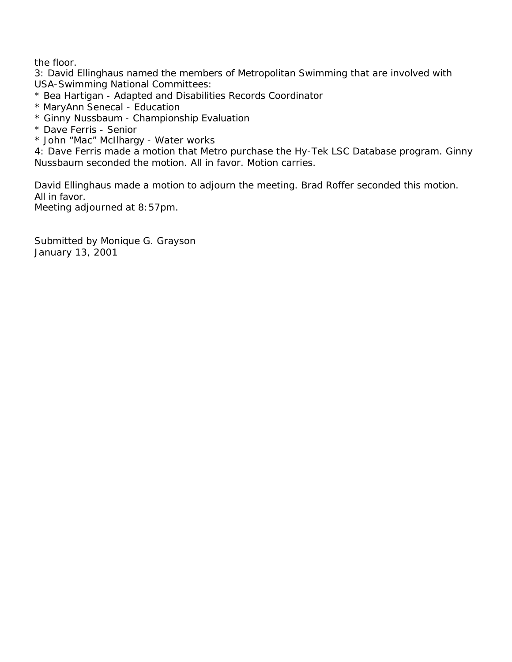the floor.

3: David Ellinghaus named the members of Metropolitan Swimming that are involved with USA-Swimming National Committees:

- \* Bea Hartigan Adapted and Disabilities Records Coordinator
- \* MaryAnn Senecal Education
- \* Ginny Nussbaum Championship Evaluation
- \* Dave Ferris Senior
- \* John "Mac" McIlhargy Water works

4: Dave Ferris made a motion that Metro purchase the Hy-Tek LSC Database program. Ginny Nussbaum seconded the motion. All in favor. Motion carries.

David Ellinghaus made a motion to adjourn the meeting. Brad Roffer seconded this motion. All in favor.

Meeting adjourned at 8:57pm.

Submitted by Monique G. Grayson January 13, 2001